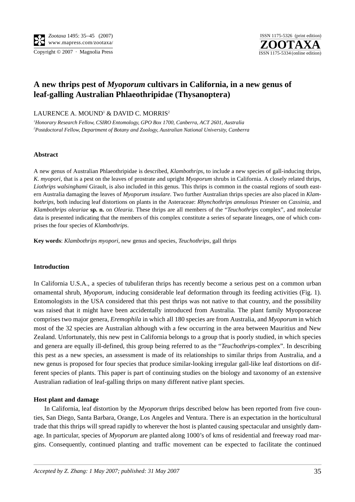

# **A new thrips pest of** *Myoporum* **cultivars in California, in a new genus of leaf-galling Australian Phlaeothripidae (Thysanoptera)**

LAURENCE A. MOUND $^{\rm l}$  & DAVID C. MORRIS $^{\rm 2}$ 

*1 Honorary Research Fellow, CSIRO Entomology, GPO Box 1700, Canberra, ACT 2601, Australia 2 Postdoctoral Fellow, Department of Botany and Zoology, Australian National University, Canberra*

## **Abstract**

A new genus of Australian Phlaeothripidae is described, *Klambothrips*, to include a new species of gall-inducing thrips, *K. myopori*, that is a pest on the leaves of prostrate and upright *Myoporum* shrubs in California. A closely related thrips, *Liothrips walsinghami* Girault, is also included in this genus. This thrips is common in the coastal regions of south eastern Australia damaging the leaves of *Myoporum insulare*. Two further Australian thrips species are also placed in *Klambothrips*, both inducing leaf distortions on plants in the Asteraceae: *Rhynchothrips annulosus* Priesner on *Cassinia*, and *Klambothrips oleariae* **sp. n.** on *Olearia*. These thrips are all members of the "*Teuchothrips* complex", and molecular data is presented indicating that the members of this complex constitute a series of separate lineages, one of which comprises the four species of *Klambothrips*.

**Key words**: *Klambothrips myopori*, new genus and species, *Teuchothrips*, gall thrips

#### **Introduction**

In California U.S.A., a species of tubuliferan thrips has recently become a serious pest on a common urban ornamental shrub, *Myoporum*, inducing considerable leaf deformation through its feeding activities (Fig. 1). Entomologists in the USA considered that this pest thrips was not native to that country, and the possibility was raised that it might have been accidentally introduced from Australia. The plant family Myoporaceae comprises two major genera, *Eremophila* in which all 180 species are from Australia, and *Myoporum* in which most of the 32 species are Australian although with a few occurring in the area between Mauritius and New Zealand. Unfortunately, this new pest in California belongs to a group that is poorly studied, in which species and genera are equally ill-defined, this group being referred to as the "*Teuchothrips*-complex". In describing this pest as a new species, an assessment is made of its relationships to similar thrips from Australia, and a new genus is proposed for four species that produce similar-looking irregular gall-like leaf distortions on different species of plants. This paper is part of continuing studies on the biology and taxonomy of an extensive Australian radiation of leaf-galling thrips on many different native plant species.

# **Host plant and damage**

In California, leaf distortion by the *Myoporum* thrips described below has been reported from five counties, San Diego, Santa Barbara, Orange, Los Angeles and Ventura. There is an expectation in the horticultural trade that this thrips will spread rapidly to wherever the host is planted causing spectacular and unsightly damage. In particular, species of *Myoporum* are planted along 1000's of kms of residential and freeway road margins. Consequently, continued planting and traffic movement can be expected to facilitate the continued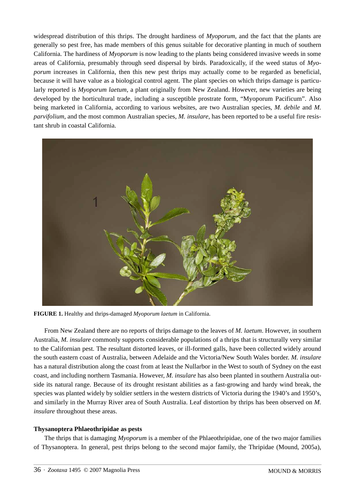widespread distribution of this thrips. The drought hardiness of *Myoporum*, and the fact that the plants are generally so pest free, has made members of this genus suitable for decorative planting in much of southern California. The hardiness of *Myoporum* is now leading to the plants being considered invasive weeds in some areas of California, presumably through seed dispersal by birds. Paradoxically, if the weed status of *Myoporum* increases in California, then this new pest thrips may actually come to be regarded as beneficial, because it will have value as a biological control agent. The plant species on which thrips damage is particularly reported is *Myoporum laetum*, a plant originally from New Zealand. However, new varieties are being developed by the horticultural trade, including a susceptible prostrate form, "Myoporum Pacificum". Also being marketed in California, according to various websites, are two Australian species, *M. debile* and *M. parvifolium*, and the most common Australian species, *M. insulare*, has been reported to be a useful fire resistant shrub in coastal California.



**FIGURE 1.** Healthy and thrips-damaged *Myoporum laetum* in California.

From New Zealand there are no reports of thrips damage to the leaves of *M. laetum*. However, in southern Australia, *M. insulare* commonly supports considerable populations of a thrips that is structurally very similar to the Californian pest. The resultant distorted leaves, or ill-formed galls, have been collected widely around the south eastern coast of Australia, between Adelaide and the Victoria/New South Wales border. *M. insulare* has a natural distribution along the coast from at least the Nullarbor in the West to south of Sydney on the east coast, and including northern Tasmania. However, *M. insulare* has also been planted in southern Australia outside its natural range. Because of its drought resistant abilities as a fast-growing and hardy wind break, the species was planted widely by soldier settlers in the western districts of Victoria during the 1940's and 1950's, and similarly in the Murray River area of South Australia. Leaf distortion by thrips has been observed on *M. insulare* throughout these areas.

# **Thysanoptera Phlaeothripidae as pests**

The thrips that is damaging *Myoporum* is a member of the Phlaeothripidae, one of the two major families of Thysanoptera. In general, pest thrips belong to the second major family, the Thripidae (Mound, 2005a),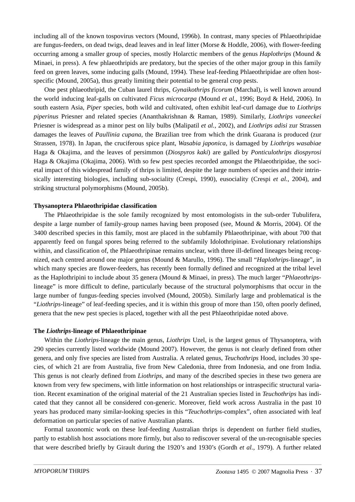including all of the known tospovirus vectors (Mound, 1996b). In contrast, many species of Phlaeothripidae are fungus-feeders, on dead twigs, dead leaves and in leaf litter (Morse & Hoddle, 2006), with flower-feeding occurring among a smaller group of species, mostly Holarctic members of the genus *Haplothrips* (Mound & Minaei, in press). A few phlaeothripids are predatory, but the species of the other major group in this family feed on green leaves, some inducing galls (Mound, 1994). These leaf-feeding Phlaeothripidae are often hostspecific (Mound, 2005a), thus greatly limiting their potential to be general crop pests.

One pest phlaeothripid, the Cuban laurel thrips, *Gynaikothrips ficorum* (Marchal), is well known around the world inducing leaf-galls on cultivated *Ficus microcarpa* (Mound *et al.*, 1996; Boyd & Held, 2006). In south eastern Asia, *Piper* species, both wild and cultivated, often exhibit leaf-curl damage due to *Liothrips piperinus* Priesner and related species (Ananthakrishnan & Raman, 1989). Similarly, *Liothrips vaneeckei* Priesner is widespread as a minor pest on lily bulbs (Malipatil *et al.*, 2002), and *Liothrips adisi* zur Strassen damages the leaves of *Paullinia cupana*, the Brazilian tree from which the drink Guarana is produced (zur Strassen, 1978). In Japan, the cruciferous spice plant, *Wasabia japonica*, is damaged by *Liothrips wasabiae* Haga & Okajima, and the leaves of persimmon (*Diospyros kaki*) are galled by *Ponticulothrips diospyrosi* Haga & Okajima (Okajima, 2006). With so few pest species recorded amongst the Phlaeothripidae, the societal impact of this widespread family of thrips is limited, despite the large numbers of species and their intrinsically interesting biologies, including sub-sociality (Crespi, 1990), eusociality (Crespi *et al.*, 2004), and striking structural polymorphisms (Mound, 2005b).

## **Thysanoptera Phlaeothripidae classification**

The Phlaeothripidae is the sole family recognized by most entomologists in the sub-order Tubulifera, despite a large number of family-group names having been proposed (see, Mound & Morris, 2004). Of the 3400 described species in this family, most are placed in the subfamily Phlaeothripinae, with about 700 that apparently feed on fungal spores being referred to the subfamily Idolothripinae. Evolutionary relationships within, and classification of, the Phlaeothripinae remains unclear, with three ill-defined lineages being recognized, each centred around one major genus (Mound & Marullo, 1996). The small "*Haplothrips*-lineage", in which many species are flower-feeders, has recently been formally defined and recognized at the tribal level as the Haplothripini to include about 35 genera (Mound & Minaei, in press). The much larger "*Phlaeothrips*lineage" is more difficult to define, particularly because of the structural polymorphisms that occur in the large number of fungus-feeding species involved (Mound, 2005b). Similarly large and problematical is the "*Liothrips*-lineage" of leaf-feeding species, and it is within this group of more than 150, often poorly defined, genera that the new pest species is placed, together with all the pest Phlaeothripidae noted above.

#### **The** *Liothrips***-lineage of Phlaeothripinae**

Within the *Liothrips*-lineage the main genus, *Liothrips* Uzel, is the largest genus of Thysanoptera, with 290 species currently listed worldwide (Mound 2007). However, the genus is not clearly defined from other genera, and only five species are listed from Australia. A related genus, *Teuchothrips* Hood, includes 30 species, of which 21 are from Australia, five from New Caledonia, three from Indonesia, and one from India. This genus is not clearly defined from *Liothrips*, and many of the described species in these two genera are known from very few specimens, with little information on host relationships or intraspecific structural variation. Recent examination of the original material of the 21 Australian species listed in *Teuchothrips* has indicated that they cannot all be considered con-generic. Moreover, field work across Australia in the past 10 years has produced many similar-looking species in this "*Teuchothrips*-complex", often associated with leaf deformation on particular species of native Australian plants.

Formal taxonomic work on these leaf-feeding Australian thrips is dependent on further field studies, partly to establish host associations more firmly, but also to rediscover several of the un-recognisable species that were described briefly by Girault during the 1920's and 1930's (Gordh *et al.*, 1979). A further related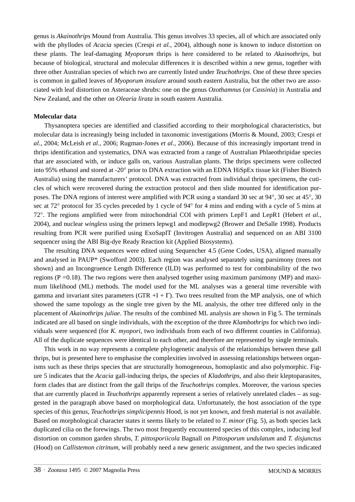genus is *Akainothrips* Mound from Australia. This genus involves 33 species, all of which are associated only with the phyllodes of *Acacia* species (Crespi *et al.*, 2004), although none is known to induce distortion on these plants. The leaf-damaging *Myoporum* thrips is here considered to be related to *Akainothrips*, but because of biological, structural and molecular differences it is described within a new genus, together with three other Australian species of which two are currently listed under *Teuchothrips*. One of these three species is common in galled leaves of *Myoporum insulare* around south eastern Australia, but the other two are associated with leaf distortion on Asteraceae shrubs: one on the genus *Ozothamnus* (or *Cassinia*) in Australia and New Zealand, and the other on *Olearia lirata* in south eastern Australia.

## **Molecular data**

Thysanoptera species are identified and classified according to their morphological characteristics, but molecular data is increasingly being included in taxonomic investigations (Morris & Mound, 2003; Crespi *et al.*, 2004; McLeish *et al.*, 2006; Rugman-Jones *et al.*, 2006). Because of this increasingly important trend in thrips identification and systematics, DNA was extracted from a range of Australian Phlaeothripidae species that are associated with, or induce galls on, various Australian plants. The thrips specimens were collected into 95% ethanol and stored at -20° prior to DNA extraction with an EDNA HiSpEx tissue kit (Fisher Biotech Australia) using the manufacturers' protocol. DNA was extracted from individual thrips specimens, the cuticles of which were recovered during the extraction protocol and then slide mounted for identification purposes. The DNA regions of interest were amplified with PCR using a standard 30 sec at 94°, 30 sec at 45°, 30 sec at 72° protocol for 35 cycles preceded by 1 cycle of 94° for 4 mins and ending with a cycle of 5 mins at 72°. The regions amplified were from mitochondrial COI with primers LepF1 and LepR1 (Hebert *et al.*, 2004), and nuclear *wingless* using the primers lepwg1 and modlepwg2 (Brower and DeSalle 1998). Products resulting from PCR were purified using ExoSapIT (Invitrogen Australia) and sequenced on an ABI 3100 sequencer using the ABI Big-dye Ready Reaction kit (Applied Biosystems).

The resulting DNA sequences were edited using Sequencher 4.5 (Gene Codes, USA), aligned manually and analysed in PAUP\* (Swofford 2003). Each region was analysed separately using parsimony (trees not shown) and an Incongruence Length Difference (ILD) was performed to test for combinability of the two regions  $(P = 0.18)$ . The two regions were then analysed together using maximum parsimony (MP) and maximum likelihood (ML) methods. The model used for the ML analyses was a general time reversible with gamma and invariant sites parameters (GTR +I +  $\Gamma$ ). Two trees resulted from the MP analysis, one of which showed the same topology as the single tree given by the ML analysis, the other tree differed only in the placement of *Akainothrips juliae*. The results of the combined ML analysis are shown in Fig 5. The terminals indicated are all based on single individuals, with the exception of the three *Klambothrips* for which two individuals were sequenced (for *K. myopori*, two individuals from each of two different counties in California). All of the duplicate sequences were identical to each other, and therefore are represented by single terminals.

This work in no way represents a complete phylogenetic analysis of the relationships between these gall thrips, but is presented here to emphasise the complexities involved in assessing relationships between organisms such as these thrips species that are structurally homogeneous, homoplastic and also polymorphic. Figure 5 indicates that the *Acacia* gall-inducing thrips, the species of *Kladothrips*, and also their kleptoparasites, form clades that are distinct from the gall thrips of the *Teuchothrips* complex. Moreover, the various species that are currently placed in *Teuchothrips* apparently represent a series of relatively unrelated clades – as suggested in the paragraph above based on morphological data. Unfortunately, the host association of the type species of this genus, *Teuchothrips simplicipennis* Hood, is not yet known, and fresh material is not available. Based on morphological character states it seems likely to be related to *T. minor* (Fig. 5), as both species lack duplicated cilia on the forewings. The two most frequently encountered species of this complex, inducing leaf distortion on common garden shrubs, *T. pittosporiicola* Bagnall on *Pittosporum undulatum* and *T. disjunctus* (Hood) on *Callistemon citrinum*, will probably need a new generic assignment, and the two species indicated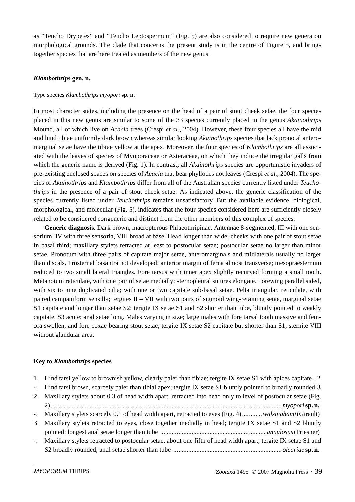as "Teucho Drypetes" and "Teucho Leptospermum" (Fig. 5) are also considered to require new genera on morphological grounds. The clade that concerns the present study is in the centre of Figure 5, and brings together species that are here treated as members of the new genus.

## *Klambothrips* **gen. n.**

## Type species *Klambothrips myopori* **sp. n.**

In most character states, including the presence on the head of a pair of stout cheek setae, the four species placed in this new genus are similar to some of the 33 species currently placed in the genus *Akainothrips* Mound, all of which live on *Acacia* trees (Crespi *et al.*, 2004). However, these four species all have the mid and hind tibiae uniformly dark brown whereas similar looking *Akainothrips* species that lack pronotal anteromarginal setae have the tibiae yellow at the apex. Moreover, the four species of *Klambothrips* are all associated with the leaves of species of Myoporaceae or Asteraceae, on which they induce the irregular galls from which the generic name is derived (Fig. 1). In contrast, all *Akainothrips* species are opportunistic invaders of pre-existing enclosed spaces on species of *Acacia* that bear phyllodes not leaves (Crespi *et al.*, 2004). The species of *Akainothrips* and *Klambothrips* differ from all of the Australian species currently listed under *Teuchothrips* in the presence of a pair of stout cheek setae. As indicated above, the generic classification of the species currently listed under *Teuchothrips* remains unsatisfactory. But the available evidence, biological, morphological, and molecular (Fig. 5), indicates that the four species considered here are sufficiently closely related to be considered congeneric and distinct from the other members of this complex of species.

**Generic diagnosis.** Dark brown, macropterous Phlaeothripinae. Antennae 8-segmented, III with one sensorium, IV with three sensoria, VIII broad at base. Head longer than wide; cheeks with one pair of stout setae in basal third; maxillary stylets retracted at least to postocular setae; postocular setae no larger than minor setae. Pronotum with three pairs of capitate major setae, anteromarginals and midlaterals usually no larger than discals. Prosternal basantra not developed; anterior margin of ferna almost transverse; mesopraesternum reduced to two small lateral triangles. Fore tarsus with inner apex slightly recurved forming a small tooth. Metanotum reticulate, with one pair of setae medially; sternopleural sutures elongate. Forewing parallel sided, with six to nine duplicated cilia; with one or two capitate sub-basal setae. Pelta triangular, reticulate, with paired campaniform sensilla; tergites II – VII with two pairs of sigmoid wing-retaining setae, marginal setae S1 capitate and longer than setae S2; tergite IX setae S1 and S2 shorter than tube, bluntly pointed to weakly capitate, S3 acute; anal setae long. Males varying in size; large males with fore tarsal tooth massive and femora swollen, and fore coxae bearing stout setae; tergite IX setae S2 capitate but shorter than S1; sternite VIII without glandular area.

# **Key to** *Klambothrips* **species**

- 1. Hind tarsi yellow to brownish yellow, clearly paler than tibiae; tergite IX setae S1 with apices capitate . 2
- -. Hind tarsi brown, scarcely paler than tibial apex; tergite IX setae S1 bluntly pointed to broadly rounded 3
- 2. Maxillary stylets about 0.3 of head width apart, retracted into head only to level of postocular setae (Fig. 2)*.............................................................................................................................................myopori***sp. n.**
- -. Maxillary stylets scarcely 0.1 of head width apart, retracted to eyes (Fig. 4)*............walsinghami* (Girault)
- 3. Maxillary stylets retracted to eyes, close together medially in head; tergite IX setae S1 and S2 bluntly pointed; longest anal setae longer than tube *................................................................ annulosus* (Priesner)
- -. Maxillary stylets retracted to postocular setae, about one fifth of head width apart; tergite IX setae S1 and S2 broadly rounded; anal setae shorter than tube *..................................................................oleariae* **sp. n.**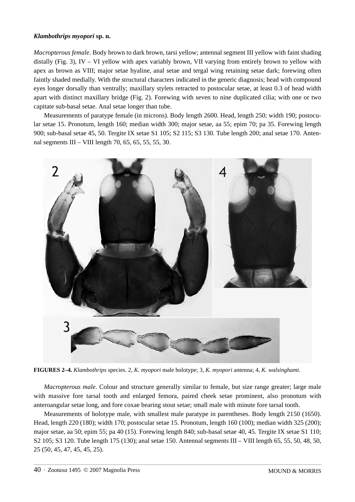#### *Klambothrips myopori* **sp. n.**

*Macropterous female*. Body brown to dark brown, tarsi yellow; antennal segment III yellow with faint shading distally (Fig. 3), IV – VI yellow with apex variably brown, VII varying from entirely brown to yellow with apex as brown as VIII; major setae hyaline, anal setae and tergal wing retaining setae dark; forewing often faintly shaded medially. With the structural characters indicated in the generic diagnosis; head with compound eyes longer dorsally than ventrally; maxillary stylets retracted to postocular setae, at least 0.3 of head width apart with distinct maxillary bridge (Fig. 2). Forewing with seven to nine duplicated cilia; with one or two capitate sub-basal setae. Anal setae longer than tube.

Measurements of paratype female (in microns). Body length 2600. Head, length 250; width 190; postocular setae 15. Pronotum, length 160; median width 300; major setae, aa 55; epim 70; pa 35. Forewing length 900; sub-basal setae 45, 50. Tergite IX setae S1 105; S2 115; S3 130. Tube length 200; anal setae 170. Antennal segments III – VIII length 70, 65, 65, 55, 55, 30.



**FIGURES 2–4.** *Klambothrips* species. 2, *K. myopori* male holotype; 3, *K. myopori* antenna; 4, *K. walsinghami*.

*Macropterous male*. Colour and structure generally similar to female, but size range greater; large male with massive fore tarsal tooth and enlarged femora, paired cheek setae prominent, also pronotum with anteroangular setae long, and fore coxae bearing stout setae; small male with minute fore tarsal tooth.

Measurements of holotype male, with smallest male paratype in parentheses. Body length 2150 (1650). Head, length 220 (180); width 170; postocular setae 15. Pronotum, length 160 (100); median width 325 (200); major setae, aa 50; epim 55; pa 40 (15). Forewing length 840; sub-basal setae 40, 45. Tergite IX setae S1 110; S2 105; S3 120. Tube length 175 (130); anal setae 150. Antennal segments III – VIII length 65, 55, 50, 48, 50, 25 (50, 45, 47, 45, 45, 25).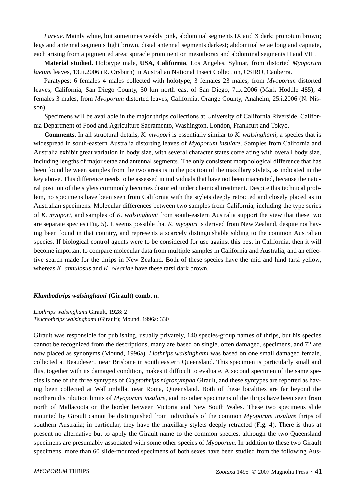*Larvae*. Mainly white, but sometimes weakly pink, abdominal segments IX and X dark; pronotum brown; legs and antennal segments light brown, distal antennal segments darkest; abdominal setae long and capitate, each arising from a pigmented area; spiracle prominent on mesothorax and abdominal segments II and VIII.

**Material studied.** Holotype male, **USA, California**, Los Angeles, Sylmar, from distorted *Myoporum laetum* leaves, 13.ii.2006 (R. Orsburn) in Australian National Insect Collection, CSIRO, Canberra.

Paratypes: 6 females 4 males collected with holotype; 3 females 23 males, from *Myoporum* distorted leaves, California, San Diego County, 50 km north east of San Diego, 7.ix.2006 (Mark Hoddle 485); 4 females 3 males, from *Myoporum* distorted leaves, California, Orange County, Anaheim, 25.i.2006 (N. Nisson).

Specimens will be available in the major thrips collections at University of California Riverside, California Department of Food and Agriculture Sacramento, Washington, London, Frankfurt and Tokyo.

**Comments.** In all structural details, *K. myopori* is essentially similar to *K. walsinghami*, a species that is widespread in south-eastern Australia distorting leaves of *Myoporum insulare*. Samples from California and Australia exhibit great variation in body size, with several character states correlating with overall body size, including lengths of major setae and antennal segments. The only consistent morphological difference that has been found between samples from the two areas is in the position of the maxillary stylets, as indicated in the key above. This difference needs to be assessed in individuals that have not been macerated, because the natural position of the stylets commonly becomes distorted under chemical treatment. Despite this technical problem, no specimens have been seen from California with the stylets deeply retracted and closely placed as in Australian specimens. Molecular differences between two samples from California, including the type series of *K. myopori*, and samples of *K. walsinghami* from south-eastern Australia support the view that these two are separate species (Fig. 5). It seems possible that *K. myopori* is derived from New Zealand, despite not having been found in that country, and represents a scarcely distinguishable sibling to the common Australian species. If biological control agents were to be considered for use against this pest in California, then it will become important to compare molecular data from multiple samples in California and Australia, and an effective search made for the thrips in New Zealand. Both of these species have the mid and hind tarsi yellow, whereas *K. annulosus* and *K. oleariae* have these tarsi dark brown.

#### *Klambothrips walsinghami* **(Girault) comb. n.**

#### *Liothrips walsinghami* Girault, 1928: 2 *Teuchothrips walsinghami* (Girault); Mound, 1996a: 330

Girault was responsible for publishing, usually privately, 140 species-group names of thrips, but his species cannot be recognized from the descriptions, many are based on single, often damaged, specimens, and 72 are now placed as synonyms (Mound, 1996a). *Liothrips walsinghami* was based on one small damaged female, collected at Beaudesert, near Brisbane in south eastern Queensland. This specimen is particularly small and this, together with its damaged condition, makes it difficult to evaluate. A second specimen of the same species is one of the three syntypes of *Cryptothrips nigronympha* Girault, and these syntypes are reported as having been collected at Wallumbilla, near Roma, Queensland. Both of these localities are far beyond the northern distribution limits of *Myoporum insulare*, and no other specimens of the thrips have been seen from north of Mallacoota on the border between Victoria and New South Wales. These two specimens slide mounted by Girault cannot be distinguished from individuals of the common *Myoporum insulare* thrips of southern Australia; in particular, they have the maxillary stylets deeply retracted (Fig. 4). There is thus at present no alternative but to apply the Girault name to the common species, although the two Queensland specimens are presumably associated with some other species of *Myoporum*. In addition to these two Girault specimens, more than 60 slide-mounted specimens of both sexes have been studied from the following Aus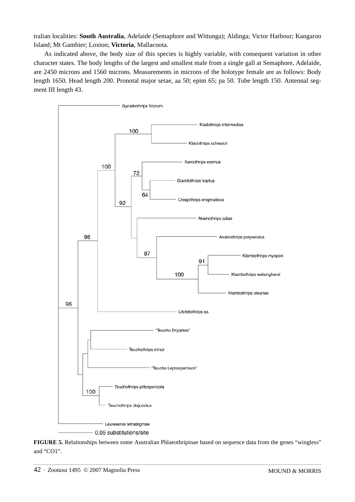tralian localities: **South Australia**, Adelaide (Semaphore and Wittunga); Aldinga; Victor Harbour; Kangaroo Island; Mt Gambier; Loxton; **Victoria**, Mallacoota.

As indicated above, the body size of this species is highly variable, with consequent variation in other character states. The body lengths of the largest and smallest male from a single gall at Semaphore, Adelaide, are 2450 microns and 1560 microns. Measurements in microns of the holotype female are as follows: Body length 1650. Head length 200. Pronotal major setae, aa 50; epim 65; pa 50. Tube length 150. Antennal segment III length 43.



**FIGURE 5.** Relationships between some Australian Phlaeothripinae based on sequence data from the genes "wingless" and "CO1".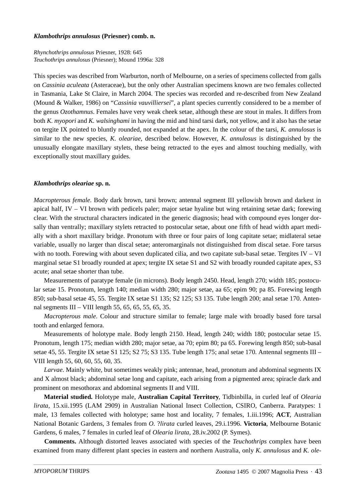#### *Klambothrips annulosus* **(Priesner) comb. n.**

*Rhynchothrips annulosus* Priesner, 1928: 645 *Teuchothrips annulosus* (Priesner); Mound 1996a: 328

This species was described from Warburton, north of Melbourne, on a series of specimens collected from galls on *Cassinia aculeata* (Asteraceae), but the only other Australian specimens known are two females collected in Tasmania, Lake St Claire, in March 2004. The species was recorded and re-described from New Zealand (Mound & Walker, 1986) on "*Cassinia vauvilliersei*", a plant species currently considered to be a member of the genus *Ozothamnus*. Females have very weak cheek setae, although these are stout in males. It differs from both *K. myopori* and *K. walsinghami* in having the mid and hind tarsi dark, not yellow, and it also has the setae on tergite IX pointed to bluntly rounded, not expanded at the apex. In the colour of the tarsi, *K. annulosus* is similar to the new species, *K. oleariae*, described below. However, *K. annulosus* is distinguished by the unusually elongate maxillary stylets, these being retracted to the eyes and almost touching medially, with exceptionally stout maxillary guides.

#### *Klambothrips oleariae* **sp. n.**

*Macropterous female*. Body dark brown, tarsi brown; antennal segment III yellowish brown and darkest in apical half, IV – VI brown with pedicels paler; major setae hyaline but wing retaining setae dark; forewing clear. With the structural characters indicated in the generic diagnosis; head with compound eyes longer dorsally than ventrally; maxillary stylets retracted to postocular setae, about one fifth of head width apart medially with a short maxillary bridge. Pronotum with three or four pairs of long capitate setae; midlateral setae variable, usually no larger than discal setae; anteromarginals not distinguished from discal setae. Fore tarsus with no tooth. Forewing with about seven duplicated cilia, and two capitate sub-basal setae. Tergites IV – VI marginal setae S1 broadly rounded at apex; tergite IX setae S1 and S2 with broadly rounded capitate apex, S3 acute; anal setae shorter than tube.

Measurements of paratype female (in microns). Body length 2450. Head, length 270; width 185; postocular setae 15. Pronotum, length 140; median width 280; major setae, aa 65; epim 90; pa 85. Forewing length 850; sub-basal setae 45, 55. Tergite IX setae S1 135; S2 125; S3 135. Tube length 200; anal setae 170. Antennal segments III – VIII length 55, 65, 65, 55, 65, 35.

*Macropterous male*. Colour and structure similar to female; large male with broadly based fore tarsal tooth and enlarged femora.

Measurements of holotype male. Body length 2150. Head, length 240; width 180; postocular setae 15. Pronotum, length 175; median width 280; major setae, aa 70; epim 80; pa 65. Forewing length 850; sub-basal setae 45, 55. Tergite IX setae S1 125; S2 75; S3 135. Tube length 175; anal setae 170. Antennal segments III – VIII length 55, 60, 60, 55, 60, 35.

*Larvae*. Mainly white, but sometimes weakly pink; antennae, head, pronotum and abdominal segments IX and X almost black; abdominal setae long and capitate, each arising from a pigmented area; spiracle dark and prominent on mesothorax and abdominal segments II and VIII.

**Material studied.** Holotype male, **Australian Capital Territory**, Tidbinbilla, in curled leaf of *Olearia lirata*, 15.xii.1995 (LAM 2909) in Australian National Insect Collection, CSIRO, Canberra. Paratypes: 1 male, 13 females collected with holotype; same host and locality, 7 females, 1.iii.1996; **ACT**, Australian National Botanic Gardens, 3 females from *O.* ?*lirata* curled leaves, 29.i.1996. **Victoria**, Melbourne Botanic Gardens, 6 males, 7 females in curled leaf of *Olearia lirata*, 28.iv.2002 (P. Symes).

**Comments.** Although distorted leaves associated with species of the *Teuchothrips* complex have been examined from many different plant species in eastern and northern Australia, only *K. annulosus* and *K. ole-*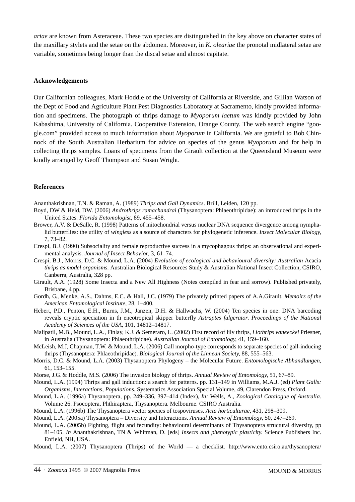*ariae* are known from Asteraceae. These two species are distinguished in the key above on character states of the maxillary stylets and the setae on the abdomen. Moreover, in *K. oleariae* the pronotal midlateral setae are variable, sometimes being longer than the discal setae and almost capitate.

#### **Acknowledgements**

Our Californian colleagues, Mark Hoddle of the University of California at Riverside, and Gillian Watson of the Dept of Food and Agriculture Plant Pest Diagnostics Laboratory at Sacramento, kindly provided information and specimens. The photograph of thrips damage to *Myoporum laetum* was kindly provided by John Kabashima, University of California. Cooperative Extension, Orange County. The web search engine "google.com" provided access to much information about *Myoporum* in California. We are grateful to Bob Chinnock of the South Australian Herbarium for advice on species of the genus *Myoporum* and for help in collecting thrips samples. Loans of specimens from the Girault collection at the Queensland Museum were kindly arranged by Geoff Thompson and Susan Wright.

#### **References**

Ananthakrishnan, T.N. & Raman, A. (1989) *Thrips and Gall Dynamics*. Brill, Leiden, 120 pp.

- Boyd, DW & Held, DW. (2006) *Androthrips ramachandrai* (Thysanoptera: Phlaeothripidae): an introduced thrips in the United States. *Florida Entomologist*, 89, 455–458.
- Brower, A.V. & DeSalle, R. (1998) Patterns of mitochondrial versus nuclear DNA sequence divergence among nymphalid butterflies: the utility of *wingless* as a source of characters for phylogenetic inference. *Insect Molecular Biology*, 7, 73–82.
- Crespi, B.J. (1990) Subsociality and female reproductive success in a mycophagous thrips: an observational and experimental analysis. *Journal of Insect Behavior*, 3, 61–74.
- Crespi, B.J., Morris, D.C. & Mound, L.A. (2004) *Evolution of ecological and behavioural diversity: Australian* Acacia *thrips as model organisms*. Australian Biological Resources Study & Australian National Insect Collection, CSIRO, Canberra, Australia, 328 pp.
- Girault, A.A. (1928) Some Insecta and a New All Highness (Notes compiled in fear and sorrow). Published privately, Brisbane, 4 pp.
- Gordh, G., Menke, A.S., Dahms, E.C. & Hall, J.C. (1979) The privately printed papers of A.A.Girault. *Memoirs of the American Entomological Institute*, 28, 1–400.
- Hebert, P.D., Penton, E.H., Burns, J.M., Janzen, D.H. & Hallwachs, W. (2004) Ten species in one: DNA barcoding reveals cryptic speciation in th eneotropical skipper butterfly *Astraptes fulgerator*. *Proceedings of the National Academy of Sciences of the USA*, 101, 14812–14817.
- Malipatil, M.B., Mound, L.A., Finlay, K.J. & Semeraro, L. (2002) First record of lily thrips, *Liothrips vaneeckei* Priesner, in Australia (Thysanoptera: Phlaeothripidae). *Australian Journal of Entomology*, 41, 159–160.
- McLeish, M.J, Chapman, T.W. & Mound, L.A. (2006) Gall morpho-type corresponds to separate species of gall-inducing thrips (Thysanoptera: Phlaeothripidae). *Biological Journal of the Linnean Society*, 88, 555–563.
- Morris, D.C. & Mound, L.A. (2003) Thysanoptera Phylogeny the Molecular Future. *Entomologische Abhandlungen*, 61, 153–155.
- Morse, J.G. & Hoddle, M.S. (2006) The invasion biology of thrips. *Annual Review of Entomology*, 51, 67–89.
- Mound, L.A. (1994) Thrips and gall induction: a search for patterns. pp. 131–149 in Williams, M.A.J. (ed) *Plant Galls: Organisms, Interactions, Populations*. Systematics Association Special Volume, 49, Clarendon Press, Oxford.
- Mound, L.A. (1996a) Thysanoptera, pp. 249–336, 397–414 (Index), *In:* Wells, A., *Zoological Catalogue of Australia*. Volume 26. Psocoptera, Phthiraptera, Thysanoptera. Melbourne. CSIRO Australia.
- Mound, L.A. (1996b) The Thysanoptera vector species of tospoviruses. *Acta horticulturae*, 431, 298–309.
- Mound, L.A. (2005a) Thysanoptera Diversity and Interactions. *Annual Review of Entomology*, 50, 247–269.
- Mound, L.A. (2005b) Fighting, flight and fecundity: behavioural determinants of Thysanoptera structural diversity, pp 81–105. *In* Ananthakrishnan, TN & Whitman, D. [eds] *Insects and phenotypic plasticity*. Science Publishers Inc. Enfield, NH, USA.
- Mound, L.A. (2007) Thysanoptera (Thrips) of the World a checklist. http://www.ento.csiro.au/thysanoptera/